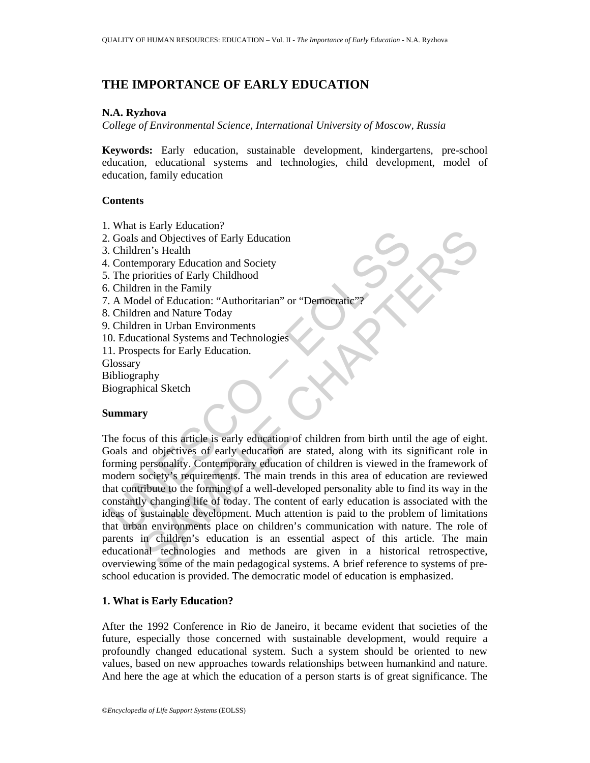# **THE IMPORTANCE OF EARLY EDUCATION**

## **N.A. Ryzhova**

*College of Environmental Science, International University of Moscow, Russia* 

**Keywords:** Early education, sustainable development, kindergartens, pre-school education, educational systems and technologies, child development, model of education, family education

## **Contents**

- 1. What is Early Education?
- 2. Goals and Objectives of Early Education
- 3. Children's Health
- 4. Contemporary Education and Society
- 5. The priorities of Early Childhood
- 6. Children in the Family
- 7. A Model of Education: "Authoritarian" or "Democratic"?
- 8. Children and Nature Today
- 9. Children in Urban Environments
- 10. Educational Systems and Technologies
- 11. Prospects for Early Education.
- **Glossary**
- Bibliography
- Biographical Sketch

## **Summary**

Coals and Objectives of Early Education<br>
Contemporary Education and Society<br>
Contemporary Education and Society<br>
Children in the Family<br>
Children in the Family<br>
Children in the Family<br>
Children and Nature Today<br>
Children a Sainty Exactation<br>
and Objectives of Early Education<br>
and Objectives of Early Childhood<br>
en in the Family<br>
diorities of Early Childhood<br>
en in the Family<br>
cionic Schark Childhood<br>
en in Urban Environments<br>
en and Nature To The focus of this article is early education of children from birth until the age of eight. Goals and objectives of early education are stated, along with its significant role in forming personality. Contemporary education of children is viewed in the framework of modern society's requirements. The main trends in this area of education are reviewed that contribute to the forming of a well-developed personality able to find its way in the constantly changing life of today. The content of early education is associated with the ideas of sustainable development. Much attention is paid to the problem of limitations that urban environments place on children's communication with nature. The role of parents in children's education is an essential aspect of this article. The main educational technologies and methods are given in a historical retrospective, overviewing some of the main pedagogical systems. A brief reference to systems of preschool education is provided. The democratic model of education is emphasized.

## **1. What is Early Education?**

After the 1992 Conference in Rio de Janeiro, it became evident that societies of the future, especially those concerned with sustainable development, would require a profoundly changed educational system. Such a system should be oriented to new values, based on new approaches towards relationships between humankind and nature. And here the age at which the education of a person starts is of great significance. The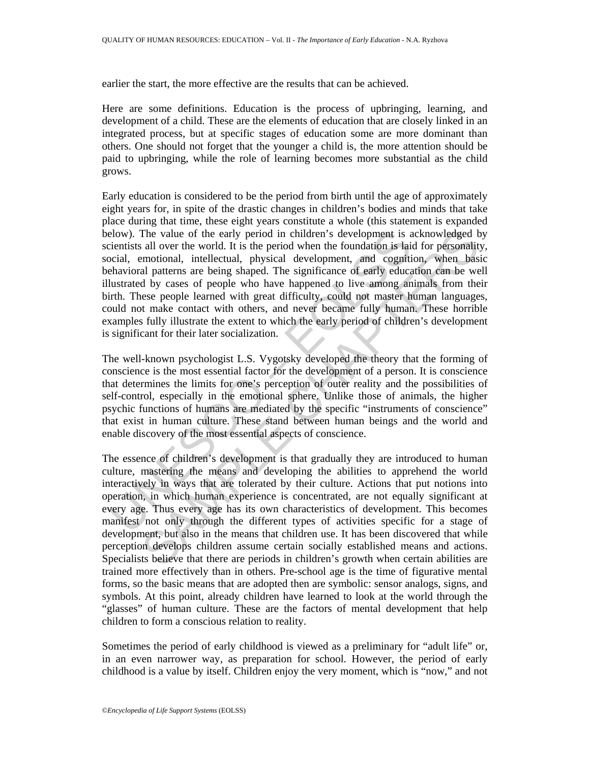earlier the start, the more effective are the results that can be achieved.

Here are some definitions. Education is the process of upbringing, learning, and development of a child. These are the elements of education that are closely linked in an integrated process, but at specific stages of education some are more dominant than others. One should not forget that the younger a child is, the more attention should be paid to upbringing, while the role of learning becomes more substantial as the child grows.

elow). The value of the early period in children's development is a<br>ienniss all over the world. It is the period when the foundation is lai<br>cocial, emotional, intellectual, physical development, and cognitical<br>relandsional Early education is considered to be the period from birth until the age of approximately eight years for, in spite of the drastic changes in children's bodies and minds that take place during that time, these eight years constitute a whole (this statement is expanded below). The value of the early period in children's development is acknowledged by scientists all over the world. It is the period when the foundation is laid for personality, social, emotional, intellectual, physical development, and cognition, when basic behavioral patterns are being shaped. The significance of early education can be well illustrated by cases of people who have happened to live among animals from their birth. These people learned with great difficulty, could not master human languages, could not make contact with others, and never became fully human. These horrible examples fully illustrate the extent to which the early period of children's development is significant for their later socialization.

The well-known psychologist L.S. Vygotsky developed the theory that the forming of conscience is the most essential factor for the development of a person. It is conscience that determines the limits for one's perception of outer reality and the possibilities of self-control, especially in the emotional sphere. Unlike those of animals, the higher psychic functions of humans are mediated by the specific "instruments of conscience" that exist in human culture. These stand between human beings and the world and enable discovery of the most essential aspects of conscience.

The value of the carly period in children's development is acknowledged b<br>all over the world. It is the period when the foundation is laid for personality<br>and morotional, intellectual, physical development, and cognition, The essence of children's development is that gradually they are introduced to human culture, mastering the means and developing the abilities to apprehend the world interactively in ways that are tolerated by their culture. Actions that put notions into operation, in which human experience is concentrated, are not equally significant at every age. Thus every age has its own characteristics of development. This becomes manifest not only through the different types of activities specific for a stage of development, but also in the means that children use. It has been discovered that while perception develops children assume certain socially established means and actions. Specialists believe that there are periods in children's growth when certain abilities are trained more effectively than in others. Pre-school age is the time of figurative mental forms, so the basic means that are adopted then are symbolic: sensor analogs, signs, and symbols. At this point, already children have learned to look at the world through the "glasses" of human culture. These are the factors of mental development that help children to form a conscious relation to reality.

Sometimes the period of early childhood is viewed as a preliminary for "adult life" or, in an even narrower way, as preparation for school. However, the period of early childhood is a value by itself. Children enjoy the very moment, which is "now," and not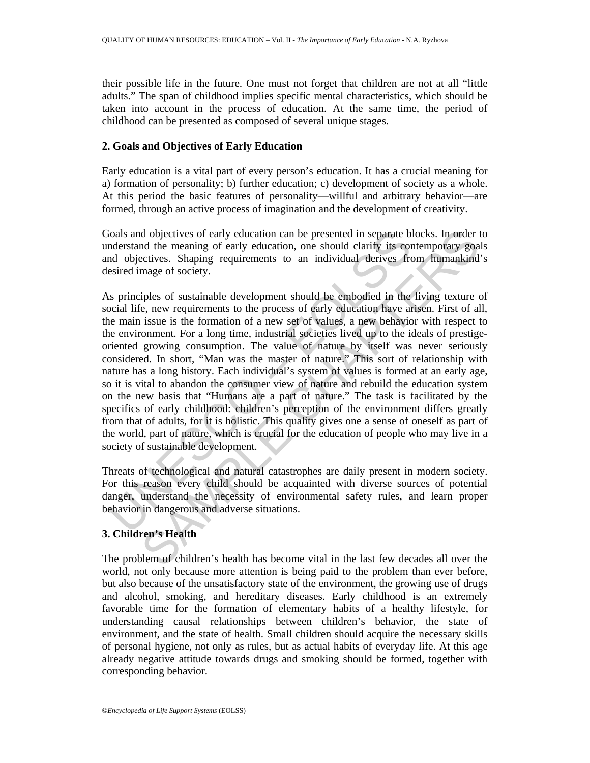their possible life in the future. One must not forget that children are not at all "little adults." The span of childhood implies specific mental characteristics, which should be taken into account in the process of education. At the same time, the period of childhood can be presented as composed of several unique stages.

## **2. Goals and Objectives of Early Education**

Early education is a vital part of every person's education. It has a crucial meaning for a) formation of personality; b) further education; c) development of society as a whole. At this period the basic features of personality—willful and arbitrary behavior—are formed, through an active process of imagination and the development of creativity.

Goals and objectives of early education can be presented in separate blocks. In order to understand the meaning of early education, one should clarify its contemporary goals and objectives. Shaping requirements to an individual derives from humankind's desired image of society.

ioals and objectives of early education can be presented in separate b<br>colas and objectives. Shaping requirements to an individual derives frequence<br>do objectives. Shaping requirements to an individual derives frequence<br>si d objectives of early education can be presented in separate blocks. In order the meaning of early education, one should clarity its contemporary goal<br>educations, Shaping requirements to an individual derives from humankin As principles of sustainable development should be embodied in the living texture of social life, new requirements to the process of early education have arisen. First of all, the main issue is the formation of a new set of values, a new behavior with respect to the environment. For a long time, industrial societies lived up to the ideals of prestigeoriented growing consumption. The value of nature by itself was never seriously considered. In short, "Man was the master of nature." This sort of relationship with nature has a long history. Each individual's system of values is formed at an early age, so it is vital to abandon the consumer view of nature and rebuild the education system on the new basis that "Humans are a part of nature." The task is facilitated by the specifics of early childhood: children's perception of the environment differs greatly from that of adults, for it is holistic. This quality gives one a sense of oneself as part of the world, part of nature, which is crucial for the education of people who may live in a society of sustainable development.

Threats of technological and natural catastrophes are daily present in modern society. For this reason every child should be acquainted with diverse sources of potential danger, understand the necessity of environmental safety rules, and learn proper behavior in dangerous and adverse situations.

## **3. Children's Health**

The problem of children's health has become vital in the last few decades all over the world, not only because more attention is being paid to the problem than ever before, but also because of the unsatisfactory state of the environment, the growing use of drugs and alcohol, smoking, and hereditary diseases. Early childhood is an extremely favorable time for the formation of elementary habits of a healthy lifestyle, for understanding causal relationships between children's behavior, the state of environment, and the state of health. Small children should acquire the necessary skills of personal hygiene, not only as rules, but as actual habits of everyday life. At this age already negative attitude towards drugs and smoking should be formed, together with corresponding behavior.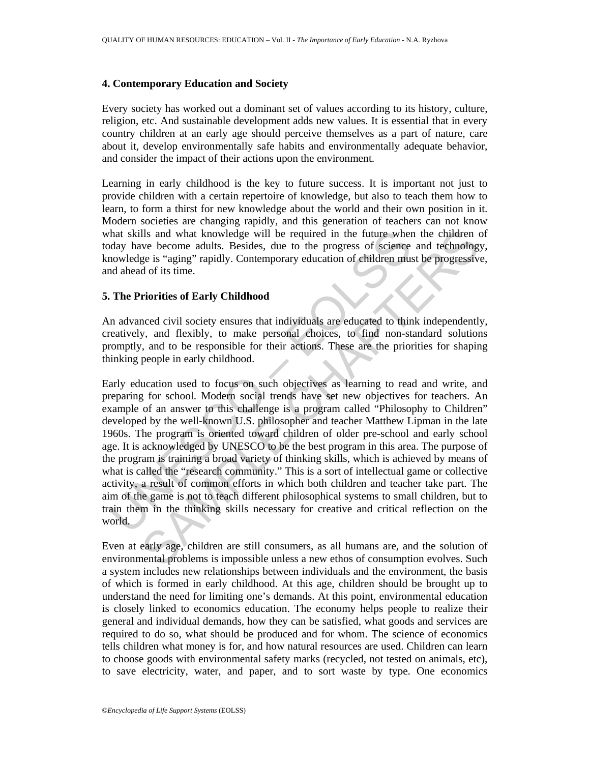## **4. Contemporary Education and Society**

Every society has worked out a dominant set of values according to its history, culture, religion, etc. And sustainable development adds new values. It is essential that in every country children at an early age should perceive themselves as a part of nature, care about it, develop environmentally safe habits and environmentally adequate behavior, and consider the impact of their actions upon the environment.

Learning in early childhood is the key to future success. It is important not just to provide children with a certain repertoire of knowledge, but also to teach them how to learn, to form a thirst for new knowledge about the world and their own position in it. Modern societies are changing rapidly, and this generation of teachers can not know what skills and what knowledge will be required in the future when the children of today have become adults. Besides, due to the progress of science and technology, knowledge is "aging" rapidly. Contemporary education of children must be progressive, and ahead of its time.

## **5. The Priorities of Early Childhood**

An advanced civil society ensures that individuals are educated to think independently, creatively, and flexibly, to make personal choices, to find non-standard solutions promptly, and to be responsible for their actions. These are the priorities for shaping thinking people in early childhood.

that skills and what knowledge will be required in the future where<br>day have become adults. Besides, due to the progress of science<br>nowledge is "aging" rapidly. Contemporary education of children mus<br>d ahead of its time.<br>T IIs and what knowledge will be required in the future when the children over become adults. Besides, due to the progress of science and technology ge is "aging" rapidly. Contemporary education of children must be progressi Early education used to focus on such objectives as learning to read and write, and preparing for school. Modern social trends have set new objectives for teachers. An example of an answer to this challenge is a program called "Philosophy to Children" developed by the well-known U.S. philosopher and teacher Matthew Lipman in the late 1960s. The program is oriented toward children of older pre-school and early school age. It is acknowledged by UNESCO to be the best program in this area. The purpose of the program is training a broad variety of thinking skills, which is achieved by means of what is called the "research community." This is a sort of intellectual game or collective activity, a result of common efforts in which both children and teacher take part. The aim of the game is not to teach different philosophical systems to small children, but to train them in the thinking skills necessary for creative and critical reflection on the world.

Even at early age, children are still consumers, as all humans are, and the solution of environmental problems is impossible unless a new ethos of consumption evolves. Such a system includes new relationships between individuals and the environment, the basis of which is formed in early childhood. At this age, children should be brought up to understand the need for limiting one's demands. At this point, environmental education is closely linked to economics education. The economy helps people to realize their general and individual demands, how they can be satisfied, what goods and services are required to do so, what should be produced and for whom. The science of economics tells children what money is for, and how natural resources are used. Children can learn to choose goods with environmental safety marks (recycled, not tested on animals, etc), to save electricity, water, and paper, and to sort waste by type. One economics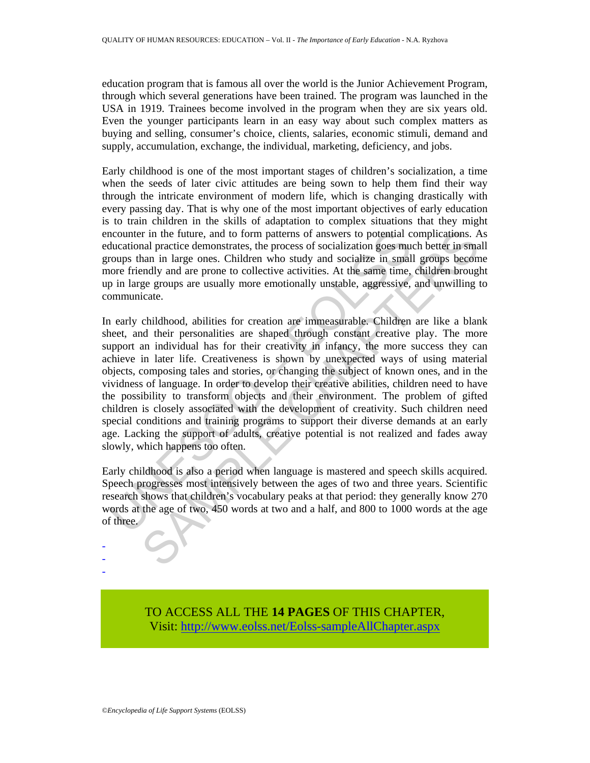education program that is famous all over the world is the Junior Achievement Program, through which several generations have been trained. The program was launched in the USA in 1919. Trainees become involved in the program when they are six years old. Even the younger participants learn in an easy way about such complex matters as buying and selling, consumer's choice, clients, salaries, economic stimuli, demand and supply, accumulation, exchange, the individual, marketing, deficiency, and jobs.

Early childhood is one of the most important stages of children's socialization, a time when the seeds of later civic attitudes are being sown to help them find their way through the intricate environment of modern life, which is changing drastically with every passing day. That is why one of the most important objectives of early education is to train children in the skills of adaptation to complex situations that they might encounter in the future, and to form patterns of answers to potential complications. As educational practice demonstrates, the process of socialization goes much better in small groups than in large ones. Children who study and socialize in small groups become more friendly and are prone to collective activities. At the same time, children brought up in large groups are usually more emotionally unstable, aggressive, and unwilling to communicate.

ncounter in the future, and to form patterns of answers to potential c<br>ducational practice demonstrates, the process of socialization goes mu-<br>roups than in large ones. Children who study and socialize in small<br>nore friend ra in the future, and to form patterns of answers to potential complications. An all practice demonstrates, the process of socialization goes much better in small groups headen in all practice demonstrates, the process of In early childhood, abilities for creation are immeasurable. Children are like a blank sheet, and their personalities are shaped through constant creative play. The more support an individual has for their creativity in infancy, the more success they can achieve in later life. Creativeness is shown by unexpected ways of using material objects, composing tales and stories, or changing the subject of known ones, and in the vividness of language. In order to develop their creative abilities, children need to have the possibility to transform objects and their environment. The problem of gifted children is closely associated with the development of creativity. Such children need special conditions and training programs to support their diverse demands at an early age. Lacking the support of adults, creative potential is not realized and fades away slowly, which happens too often.

Early childhood is also a period when language is mastered and speech skills acquired. Speech progresses most intensively between the ages of two and three years. Scientific research shows that children's vocabulary peaks at that period: they generally know 270 words at the age of two, 450 words at two and a half, and 800 to 1000 words at the age of three.

> TO ACCESS ALL THE **14 PAGES** OF THIS CHAPTER, Visit[: http://www.eolss.net/Eolss-sampleAllChapter.aspx](https://www.eolss.net/ebooklib/sc_cart.aspx?File=E1-12-03-01)

- - -